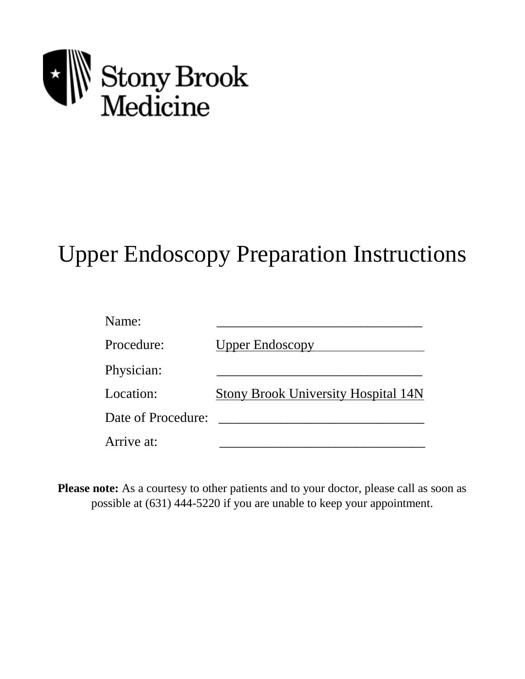

# Upper Endoscopy Preparation Instructions

| Name:              |                                            |
|--------------------|--------------------------------------------|
| Procedure:         | <b>Upper Endoscopy</b>                     |
| Physician:         |                                            |
| Location:          | <b>Stony Brook University Hospital 14N</b> |
| Date of Procedure: |                                            |
| Arrive at:         |                                            |

**Please note:** As a courtesy to other patients and to your doctor, please call as soon as possible at (631) 444-5220 if you are unable to keep your appointment.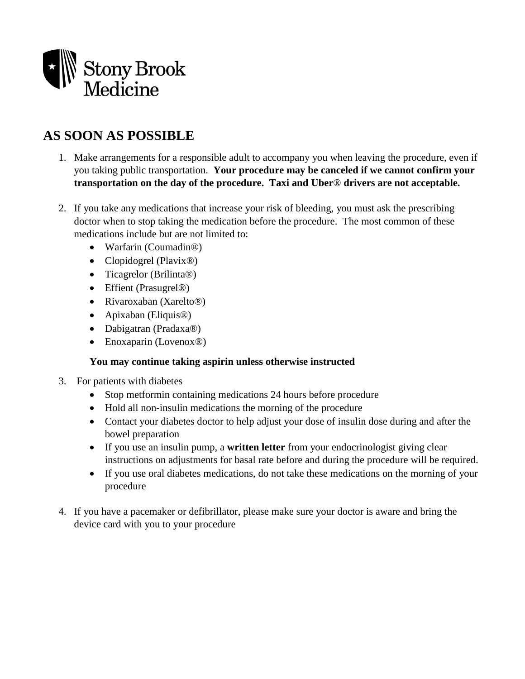

# **AS SOON AS POSSIBLE**

- 1. Make arrangements for a responsible adult to accompany you when leaving the procedure, even if you taking public transportation. **Your procedure may be canceled if we cannot confirm your transportation on the day of the procedure. Taxi and Uber**® **drivers are not acceptable.**
- 2. If you take any medications that increase your risk of bleeding, you must ask the prescribing doctor when to stop taking the medication before the procedure. The most common of these medications include but are not limited to:
	- Warfarin (Coumadin®)
	- Clopidogrel (Plavix<sup>®)</sup>
	- Ticagrelor (Brilinta®)
	- Effient (Prasugrel®)
	- Rivaroxaban (Xarelto<sup>®</sup>)
	- Apixaban (Eliquis®)
	- Dabigatran (Pradaxa®)
	- Enoxaparin (Lovenox®)

#### **You may continue taking aspirin unless otherwise instructed**

- 3. For patients with diabetes
	- Stop metformin containing medications 24 hours before procedure
	- Hold all non-insulin medications the morning of the procedure
	- Contact your diabetes doctor to help adjust your dose of insulin dose during and after the bowel preparation
	- If you use an insulin pump, a **written letter** from your endocrinologist giving clear instructions on adjustments for basal rate before and during the procedure will be required.
	- If you use oral diabetes medications, do not take these medications on the morning of your procedure
- 4. If you have a pacemaker or defibrillator, please make sure your doctor is aware and bring the device card with you to your procedure